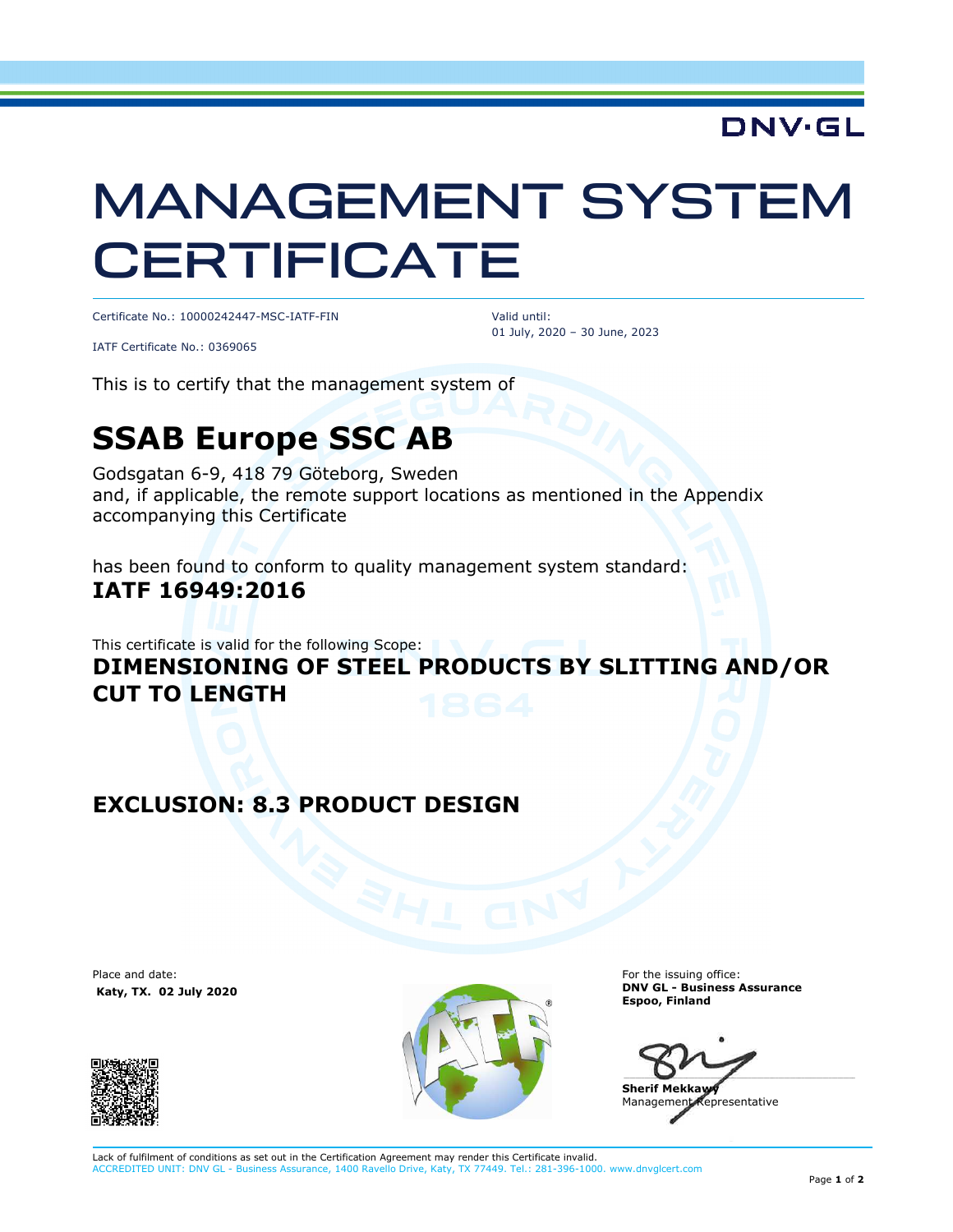## **DNV·GL**

# MANAGEMENT SYSTEM **CERTIFICATE**

Certificate No.: 10000242447-MSC-IATF-FIN

 Valid until: 01 July, 2020 – 30 June, 2023

IATF Certificate No.: 0369065

This is to certify that the management system of

## **SSAB Europe SSC AB**

Godsgatan 6-9, 418 79 Göteborg, Sweden and, if applicable, the remote support locations as mentioned in the Appendix accompanying this Certificate

has been found to conform to quality management system standard: **IATF 16949:2016** 

This certificate is valid for the following Scope:

#### **DIMENSIONING OF STEEL PRODUCTS BY SLITTING AND/OR CUT TO LENGTH**

#### **EXCLUSION: 8.3 PRODUCT DESIGN**

Place and date:  **Katy, TX. 02 July 2020**





For the issuing office: **DNV GL - Business Assurance Espoo, Finland** 

 $\blacksquare$ 

**Sherif Mekkawy**  Management Representative